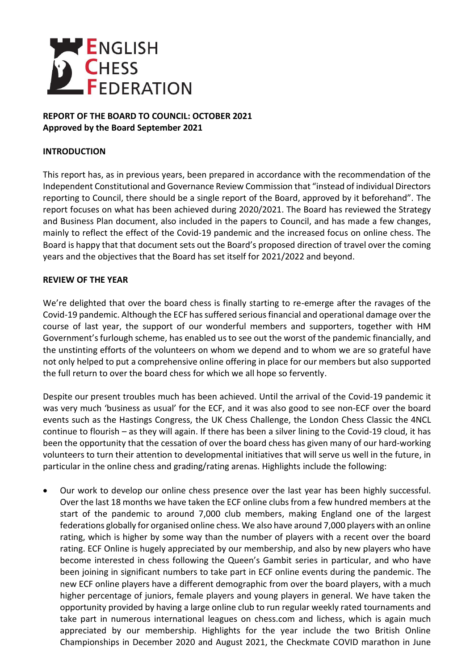

## **REPORT OF THE BOARD TO COUNCIL: OCTOBER 2021 Approved by the Board September 2021**

## **INTRODUCTION**

This report has, as in previous years, been prepared in accordance with the recommendation of the Independent Constitutional and Governance Review Commission that "instead of individual Directors reporting to Council, there should be a single report of the Board, approved by it beforehand". The report focuses on what has been achieved during 2020/2021. The Board has reviewed the Strategy and Business Plan document, also included in the papers to Council, and has made a few changes, mainly to reflect the effect of the Covid-19 pandemic and the increased focus on online chess. The Board is happy that that document sets out the Board's proposed direction of travel over the coming years and the objectives that the Board has set itself for 2021/2022 and beyond.

## **REVIEW OF THE YEAR**

We're delighted that over the board chess is finally starting to re-emerge after the ravages of the Covid-19 pandemic. Although the ECF has suffered serious financial and operational damage over the course of last year, the support of our wonderful members and supporters, together with HM Government's furlough scheme, has enabled us to see out the worst of the pandemic financially, and the unstinting efforts of the volunteers on whom we depend and to whom we are so grateful have not only helped to put a comprehensive online offering in place for our members but also supported the full return to over the board chess for which we all hope so fervently.

Despite our present troubles much has been achieved. Until the arrival of the Covid-19 pandemic it was very much 'business as usual' for the ECF, and it was also good to see non-ECF over the board events such as the Hastings Congress, the UK Chess Challenge, the London Chess Classic the 4NCL continue to flourish – as they will again. If there has been a silver lining to the Covid-19 cloud, it has been the opportunity that the cessation of over the board chess has given many of our hard-working volunteers to turn their attention to developmental initiatives that will serve us well in the future, in particular in the online chess and grading/rating arenas. Highlights include the following:

• Our work to develop our online chess presence over the last year has been highly successful. Over the last 18 months we have taken the ECF online clubs from a few hundred members at the start of the pandemic to around 7,000 club members, making England one of the largest federations globally for organised online chess. We also have around 7,000 players with an online rating, which is higher by some way than the number of players with a recent over the board rating. ECF Online is hugely appreciated by our membership, and also by new players who have become interested in chess following the Queen's Gambit series in particular, and who have been joining in significant numbers to take part in ECF online events during the pandemic. The new ECF online players have a different demographic from over the board players, with a much higher percentage of juniors, female players and young players in general. We have taken the opportunity provided by having a large online club to run regular weekly rated tournaments and take part in numerous international leagues on chess.com and lichess, which is again much appreciated by our membership. Highlights for the year include the two British Online Championships in December 2020 and August 2021, the Checkmate COVID marathon in June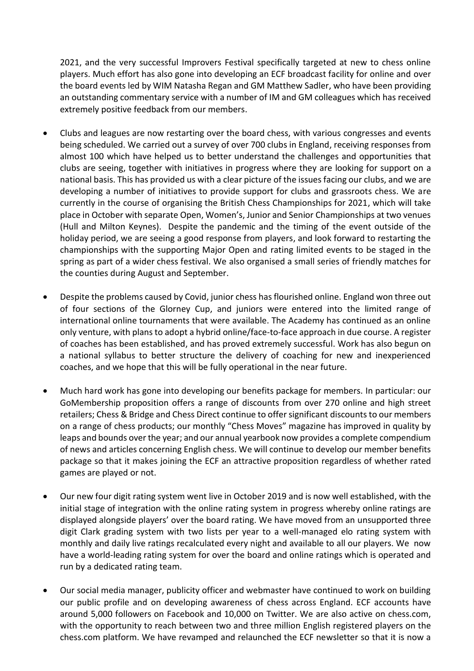2021, and the very successful Improvers Festival specifically targeted at new to chess online players. Much effort has also gone into developing an ECF broadcast facility for online and over the board events led by WIM Natasha Regan and GM Matthew Sadler, who have been providing an outstanding commentary service with a number of IM and GM colleagues which has received extremely positive feedback from our members.

- Clubs and leagues are now restarting over the board chess, with various congresses and events being scheduled. We carried out a survey of over 700 clubs in England, receiving responses from almost 100 which have helped us to better understand the challenges and opportunities that clubs are seeing, together with initiatives in progress where they are looking for support on a national basis. This has provided us with a clear picture of the issues facing our clubs, and we are developing a number of initiatives to provide support for clubs and grassroots chess. We are currently in the course of organising the British Chess Championships for 2021, which will take place in October with separate Open, Women's, Junior and Senior Championships at two venues (Hull and Milton Keynes). Despite the pandemic and the timing of the event outside of the holiday period, we are seeing a good response from players, and look forward to restarting the championships with the supporting Major Open and rating limited events to be staged in the spring as part of a wider chess festival. We also organised a small series of friendly matches for the counties during August and September.
- Despite the problems caused by Covid, junior chess has flourished online. England won three out of four sections of the Glorney Cup, and juniors were entered into the limited range of international online tournaments that were available. The Academy has continued as an online only venture, with plans to adopt a hybrid online/face-to-face approach in due course. A register of coaches has been established, and has proved extremely successful. Work has also begun on a national syllabus to better structure the delivery of coaching for new and inexperienced coaches, and we hope that this will be fully operational in the near future.
- Much hard work has gone into developing our benefits package for members. In particular: our GoMembership proposition offers a range of discounts from over 270 online and high street retailers; Chess & Bridge and Chess Direct continue to offer significant discounts to our members on a range of chess products; our monthly "Chess Moves" magazine has improved in quality by leaps and bounds over the year; and our annual yearbook now provides a complete compendium of news and articles concerning English chess. We will continue to develop our member benefits package so that it makes joining the ECF an attractive proposition regardless of whether rated games are played or not.
- Our new four digit rating system went live in October 2019 and is now well established, with the initial stage of integration with the online rating system in progress whereby online ratings are displayed alongside players' over the board rating. We have moved from an unsupported three digit Clark grading system with two lists per year to a well-managed elo rating system with monthly and daily live ratings recalculated every night and available to all our players. We now have a world-leading rating system for over the board and online ratings which is operated and run by a dedicated rating team.
- Our social media manager, publicity officer and webmaster have continued to work on building our public profile and on developing awareness of chess across England. ECF accounts have around 5,000 followers on Facebook and 10,000 on Twitter. We are also active on chess.com, with the opportunity to reach between two and three million English registered players on the chess.com platform. We have revamped and relaunched the ECF newsletter so that it is now a